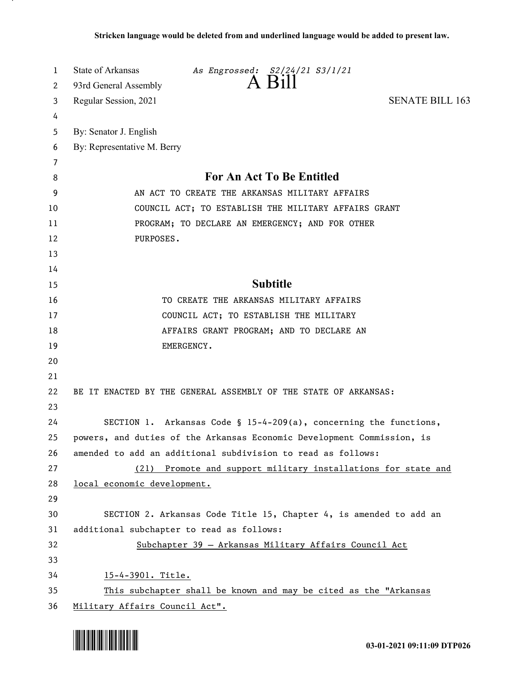| 1        | State of Arkansas<br>As Engrossed: S2/24/21 S3/1/21                    |
|----------|------------------------------------------------------------------------|
| 2        | A Bill<br>93rd General Assembly                                        |
| 3        | <b>SENATE BILL 163</b><br>Regular Session, 2021                        |
| 4        |                                                                        |
| 5        | By: Senator J. English                                                 |
| 6        | By: Representative M. Berry                                            |
| 7        |                                                                        |
| 8        | For An Act To Be Entitled                                              |
| 9        | AN ACT TO CREATE THE ARKANSAS MILITARY AFFAIRS                         |
| 10       | COUNCIL ACT; TO ESTABLISH THE MILITARY AFFAIRS GRANT                   |
| 11       | PROGRAM; TO DECLARE AN EMERGENCY; AND FOR OTHER                        |
| 12       | PURPOSES.                                                              |
| 13       |                                                                        |
| 14       |                                                                        |
| 15       | <b>Subtitle</b>                                                        |
| 16       | TO CREATE THE ARKANSAS MILITARY AFFAIRS                                |
| 17       | COUNCIL ACT; TO ESTABLISH THE MILITARY                                 |
| 18       | AFFAIRS GRANT PROGRAM; AND TO DECLARE AN                               |
| 19       | EMERGENCY.                                                             |
| 20       |                                                                        |
| 21       |                                                                        |
| 22<br>23 | BE IT ENACTED BY THE GENERAL ASSEMBLY OF THE STATE OF ARKANSAS:        |
| 24       | SECTION 1. Arkansas Code § 15-4-209(a), concerning the functions,      |
| 25       | powers, and duties of the Arkansas Economic Development Commission, is |
| 26       | amended to add an additional subdivision to read as follows:           |
| 27       | (21) Promote and support military installations for state and          |
| 28       | local economic development.                                            |
| 29       |                                                                        |
| 30       | SECTION 2. Arkansas Code Title 15, Chapter 4, is amended to add an     |
| 31       | additional subchapter to read as follows:                              |
| 32       | Subchapter 39 - Arkansas Military Affairs Council Act                  |
| 33       |                                                                        |
| 34       | 15-4-3901. Title.                                                      |
| 35       | This subchapter shall be known and may be cited as the "Arkansas       |
| 36       | Military Affairs Council Act".                                         |

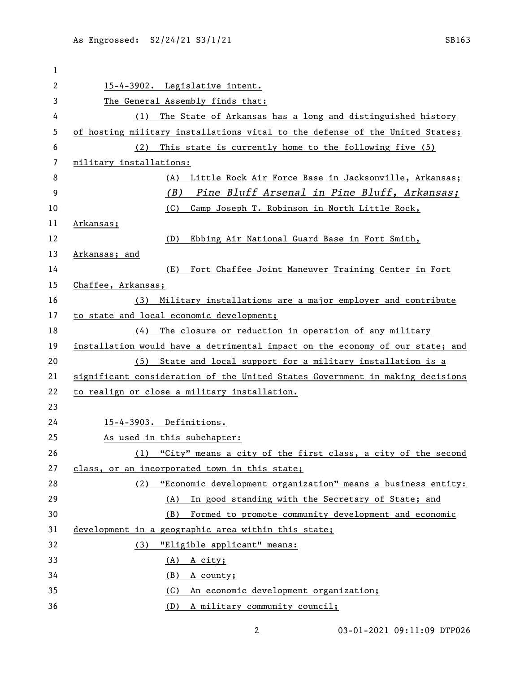| 1  |                                                                               |
|----|-------------------------------------------------------------------------------|
| 2  | 15-4-3902. Legislative intent.                                                |
| 3  | The General Assembly finds that:                                              |
| 4  | The State of Arkansas has a long and distinguished history<br>(1)             |
| 5  | of hosting military installations vital to the defense of the United States;  |
| 6  | This state is currently home to the following five (5)<br>(2)                 |
| 7  | military installations:                                                       |
| 8  | Little Rock Air Force Base in Jacksonville, Arkansas;<br>(A)                  |
| 9  | (B)<br>Pine Bluff Arsenal in Pine Bluff, Arkansas;                            |
| 10 | (C)<br>Camp Joseph T. Robinson in North Little Rock,                          |
| 11 | <u>Arkansas;</u>                                                              |
| 12 | (D)<br>Ebbing Air National Guard Base in Fort Smith,                          |
| 13 | Arkansas; and                                                                 |
| 14 | (E)<br>Fort Chaffee Joint Maneuver Training Center in Fort                    |
| 15 | Chaffee, Arkansas;                                                            |
| 16 | Military installations are a major employer and contribute<br>(3)             |
| 17 | to state and local economic development;                                      |
| 18 | The closure or reduction in operation of any military<br>(4)                  |
| 19 | installation would have a detrimental impact on the economy of our state; and |
| 20 | (5) State and local support for a military installation is a                  |
| 21 | significant consideration of the United States Government in making decisions |
| 22 | to realign or close a military installation.                                  |
| 23 |                                                                               |
| 24 | 15-4-3903. Definitions.                                                       |
| 25 | As used in this subchapter:                                                   |
| 26 | "City" means a city of the first class, a city of the second<br>(1)           |
| 27 | class, or an incorporated town in this state;                                 |
| 28 | "Economic development organization" means a business entity:<br>(2)           |
| 29 | (A) In good standing with the Secretary of State; and                         |
| 30 | Formed to promote community development and economic<br>(B)                   |
| 31 | development in a geographic area within this state;                           |
| 32 | "Eligible applicant" means:<br>(3)                                            |
| 33 | (A) A city;                                                                   |
| 34 | <u>(B)</u><br>A county;                                                       |
| 35 | An economic development organization;<br>(C)                                  |
| 36 | A military community council;<br>(D)                                          |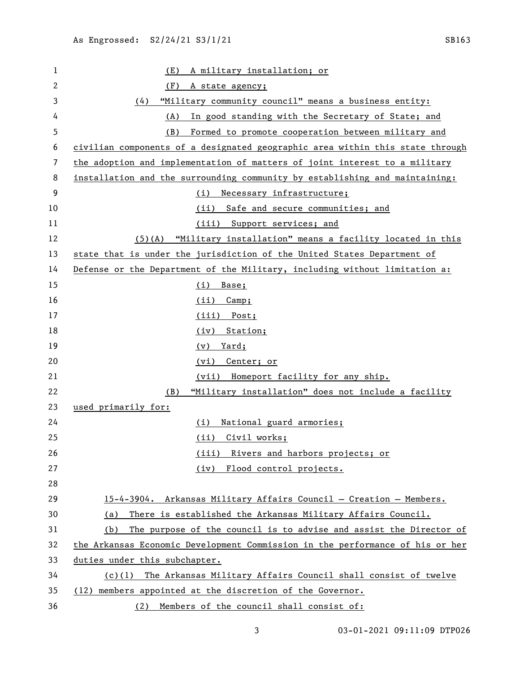(E) A military installation; or (F) A state agency; (4) "Military community council" means a business entity: (A) In good standing with the Secretary of State; and (B) Formed to promote cooperation between military and civilian components of a designated geographic area within this state through the adoption and implementation of matters of joint interest to a military installation and the surrounding community by establishing and maintaining: (i) Necessary infrastructure; (ii) Safe and secure communities; and 11 (iii) Support services; and (5)(A) "Military installation" means a facility located in this 13 state that is under the jurisdiction of the United States Department of Defense or the Department of the Military, including without limitation a: (i) Base; 16 (ii) Camp; (iii) Post; 18 (iv) Station; (v) Yard; (vi) Center; or (vii) Homeport facility for any ship. (B) "Military installation" does not include a facility used primarily for: (i) National guard armories; (ii) Civil works; (iii) Rivers and harbors projects; or (iv) Flood control projects. 15-4-3904. Arkansas Military Affairs Council — Creation — Members. (a) There is established the Arkansas Military Affairs Council. (b) The purpose of the council is to advise and assist the Director of the Arkansas Economic Development Commission in the performance of his or her duties under this subchapter. (c)(1) The Arkansas Military Affairs Council shall consist of twelve (12) members appointed at the discretion of the Governor. (2) Members of the council shall consist of: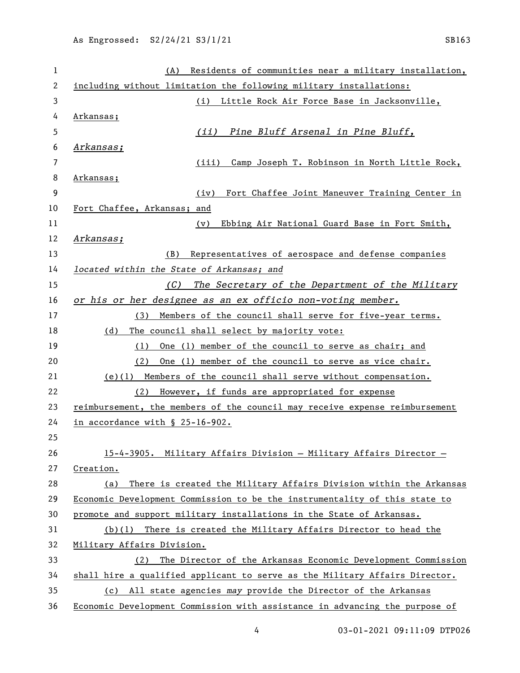| $\mathbf{1}$   | Residents of communities near a military installation,<br>(A)               |
|----------------|-----------------------------------------------------------------------------|
| $\overline{c}$ | including without limitation the following military installations:          |
| 3              | (i) Little Rock Air Force Base in Jacksonville,                             |
| 4              | Arkansas;                                                                   |
| 5              | Pine Bluff Arsenal in Pine Bluff,<br>(iii)                                  |
| 6              | Arkansas;                                                                   |
| 7              | (iii) Camp Joseph T. Robinson in North Little Rock,                         |
| 8              | Arkansas;                                                                   |
| 9              | (iv)<br>Fort Chaffee Joint Maneuver Training Center in                      |
| 10             | Fort Chaffee, Arkansas; and                                                 |
| 11             | Ebbing Air National Guard Base in Fort Smith,<br>(v)                        |
| 12             | Arkansas;                                                                   |
| 13             | Representatives of aerospace and defense companies<br>(B)                   |
| 14             | located within the State of Arkansas; and                                   |
| 15             | The Secretary of the Department of the Military<br>(C)                      |
| 16             | or his or her designee as an ex officio non-voting member.                  |
| 17             | (3) Members of the council shall serve for five-year terms.                 |
| 18             | (d) The council shall select by majority vote:                              |
| 19             | One (1) member of the council to serve as chair; and<br>(1)                 |
| 20             | One (1) member of the council to serve as vice chair.<br>(2)                |
| 21             | (e)(1) Members of the council shall serve without compensation.             |
| 22             | However, if funds are appropriated for expense<br>(2)                       |
| 23             | reimbursement, the members of the council may receive expense reimbursement |
| 24             | in accordance with § 25-16-902.                                             |
| 25             |                                                                             |
| 26             | 15-4-3905. Military Affairs Division - Military Affairs Director -          |
| 27             | Creation.                                                                   |
| 28             | (a) There is created the Military Affairs Division within the Arkansas      |
| 29             | Economic Development Commission to be the instrumentality of this state to  |
| 30             | promote and support military installations in the State of Arkansas.        |
| 31             | $(b)(1)$ There is created the Military Affairs Director to head the         |
| 32             | Military Affairs Division.                                                  |
| 33             | The Director of the Arkansas Economic Development Commission<br>(2)         |
| 34             | shall hire a qualified applicant to serve as the Military Affairs Director. |
| 35             | (c) All state agencies may provide the Director of the Arkansas             |
| 36             | Economic Development Commission with assistance in advancing the purpose of |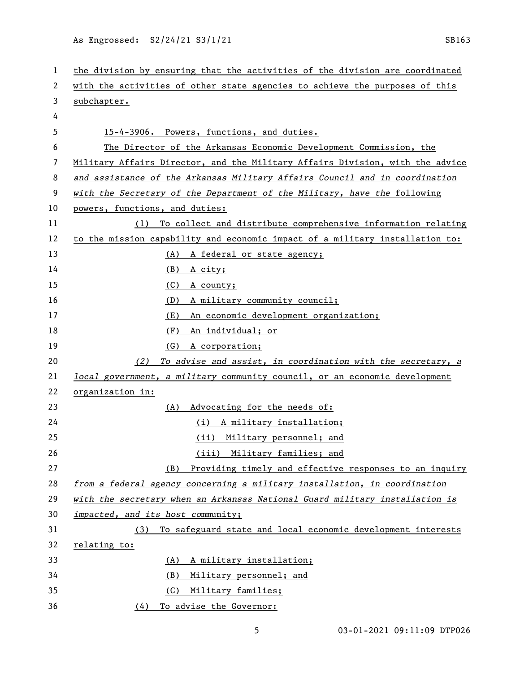As Engrossed: S2/24/21 S3/1/21 Services of the SB163

| 1  | the division by ensuring that the activities of the division are coordinated  |
|----|-------------------------------------------------------------------------------|
| 2  | with the activities of other state agencies to achieve the purposes of this   |
| 3  | subchapter.                                                                   |
| 4  |                                                                               |
| 5  | 15-4-3906. Powers, functions, and duties.                                     |
| 6  | The Director of the Arkansas Economic Development Commission, the             |
| 7  | Military Affairs Director, and the Military Affairs Division, with the advice |
| 8  | and assistance of the Arkansas Military Affairs Council and in coordination   |
| 9  | with the Secretary of the Department of the Military, have the following      |
| 10 | powers, functions, and duties:                                                |
| 11 | (1) To collect and distribute comprehensive information relating              |
| 12 | to the mission capability and economic impact of a military installation to:  |
| 13 | (A) A federal or state agency;                                                |
| 14 | (B)<br>A city;                                                                |
| 15 | (C)<br>A county;                                                              |
| 16 | A military community council;<br>(D)                                          |
| 17 | An economic development organization;<br>(E)                                  |
| 18 | (F)<br>An individual; or                                                      |
| 19 | (G)<br>A corporation;                                                         |
| 20 | To advise and assist, in coordination with the secretary, a<br>(2)            |
| 21 | local government, a military community council, or an economic development    |
| 22 | organization in:                                                              |
| 23 | Advocating for the needs of:<br>(A)                                           |
| 24 | (i) A military installation;                                                  |
| 25 | (ii) Military personnel; and                                                  |
| 26 | (iii) Military families; and                                                  |
| 27 | Providing timely and effective responses to an inquiry<br>(B)                 |
| 28 | from a federal agency concerning a military installation, in coordination     |
| 29 | with the secretary when an Arkansas National Guard military installation is   |
| 30 | impacted, and its host community;                                             |
| 31 | To safeguard state and local economic development interests<br>(3)            |
| 32 | relating to:                                                                  |
| 33 | A military installation;<br>(A)                                               |
| 34 | (B)<br>Military personnel; and                                                |
| 35 | (C)<br>Military families;                                                     |
| 36 | To advise the Governor:<br>(4)                                                |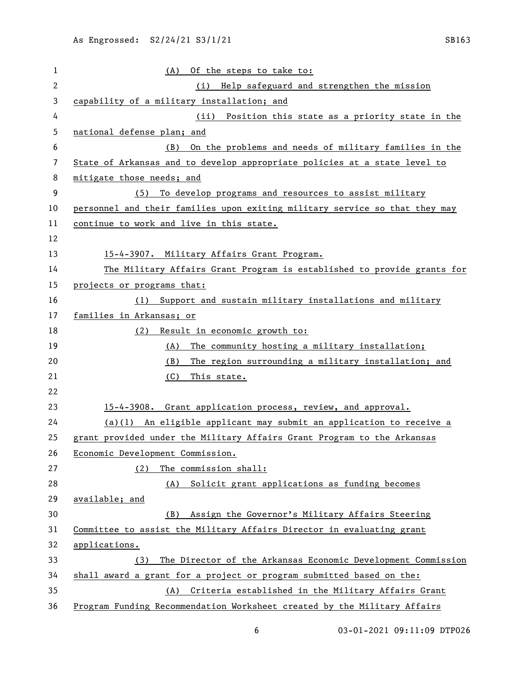| 1              | (A) Of the steps to take to:                                                    |
|----------------|---------------------------------------------------------------------------------|
| $\overline{c}$ | (i) Help safeguard and strengthen the mission                                   |
| 3              | capability of a military installation; and                                      |
| 4              | Position this state as a priority state in the<br>(ii)                          |
| 5              | national defense plan; and                                                      |
| 6              | On the problems and needs of military families in the<br>(B)                    |
| 7              | State of Arkansas and to develop appropriate policies at a state level to       |
| 8              | mitigate those needs; and                                                       |
| 9              | (5)<br>To develop programs and resources to assist military                     |
| 10             | personnel and their families upon exiting military service so that they may     |
| 11             | continue to work and live in this state.                                        |
| 12             |                                                                                 |
| 13             | 15-4-3907. Military Affairs Grant Program.                                      |
| 14             | The Military Affairs Grant Program is established to provide grants for         |
| 15             | projects or programs that:                                                      |
| 16             | Support and sustain military installations and military<br>(1)                  |
| 17             | families in Arkansas; or                                                        |
| 18             | Result in economic growth to:<br>(2)                                            |
| 19             | The community hosting a military installation;<br><u>(A)</u>                    |
| 20             | The region surrounding a military installation; and<br>(B)                      |
| 21             | (C)<br>This state.                                                              |
| 22             |                                                                                 |
| 23             | 15-4-3908. Grant application process, review, and approval.                     |
| 24             | $(a)(1)$ An eligible applicant may submit an application to receive a           |
| 25             | grant provided under the Military Affairs Grant Program to the Arkansas         |
| 26             | Economic Development Commission.                                                |
| 27             | The commission shall:<br>(2)                                                    |
| 28             | Solicit grant applications as funding becomes<br>(A)                            |
| 29             | available; and                                                                  |
| 30             | Assign the Governor's Military Affairs Steering<br>(B)                          |
| 31             | Committee to assist the Military Affairs Director in evaluating grant           |
| 32             | applications.                                                                   |
| 33             | The Director of the Arkansas Economic Development Commission<br>(3)             |
| 34             | shall award a grant for a project or program submitted based on the:            |
| 35             | (A) Criteria established in the Military Affairs Grant                          |
| 36             | <u>Program Funding Recommendation Worksheet created by the Military Affairs</u> |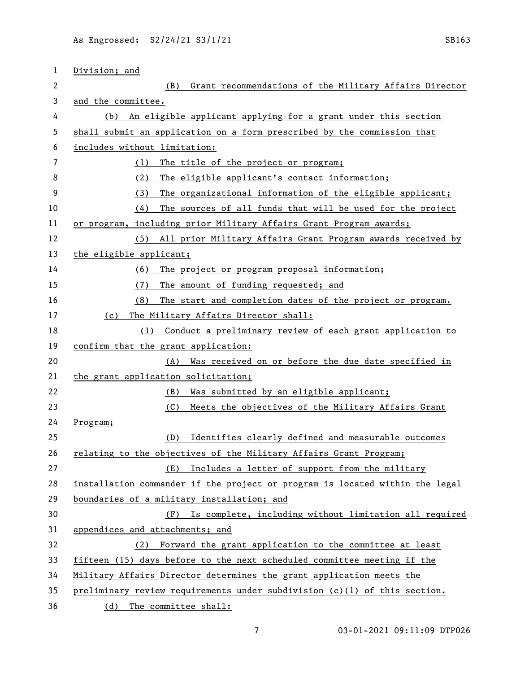| 1  | Division; and                                                                |
|----|------------------------------------------------------------------------------|
| 2  | (B) Grant recommendations of the Military Affairs Director                   |
| 3  | and the committee.                                                           |
| 4  | (b) An eligible applicant applying for a grant under this section            |
| 5  | shall submit an application on a form prescribed by the commission that      |
| 6  | includes without limitation:                                                 |
| 7  | The title of the project or program;<br>(1)                                  |
| 8  | (2)<br>The eligible applicant's contact information;                         |
| 9  | The organizational information of the eligible applicant;<br>(3)             |
| 10 | The sources of all funds that will be used for the project<br>(4)            |
| 11 | or program, including prior Military Affairs Grant Program awards;           |
| 12 | (5) All prior Military Affairs Grant Program awards received by              |
| 13 | the eligible applicant;                                                      |
| 14 | The project or program proposal information;<br>(6)                          |
| 15 | (7)<br>The amount of funding requested; and                                  |
| 16 | The start and completion dates of the project or program.<br>(8)             |
| 17 | The Military Affairs Director shall:<br>(c)                                  |
| 18 | Conduct a preliminary review of each grant application to<br>(1)             |
| 19 | confirm that the grant application:                                          |
| 20 | Was received on or before the due date specified in<br>(A)                   |
| 21 | the grant application solicitation;                                          |
| 22 | Was submitted by an eligible applicant;<br>(B)                               |
| 23 | (C)<br>Meets the objectives of the Military Affairs Grant                    |
| 24 | <u>Program;</u>                                                              |
| 25 | Identifies clearly defined and measurable outcomes<br>(D)                    |
| 26 | relating to the objectives of the Military Affairs Grant Program;            |
| 27 | Includes a letter of support from the military<br>(E)                        |
| 28 | installation commander if the project or program is located within the legal |
| 29 | boundaries of a military installation; and                                   |
| 30 | (F) Is complete, including without limitation all required                   |
| 31 | appendices and attachments; and                                              |
| 32 | (2) Forward the grant application to the committee at least                  |
| 33 | fifteen (15) days before to the next scheduled committee meeting if the      |
| 34 | Military Affairs Director determines the grant application meets the         |
| 35 | preliminary review requirements under subdivision (c)(1) of this section.    |
| 36 | The committee shall:<br>(d)                                                  |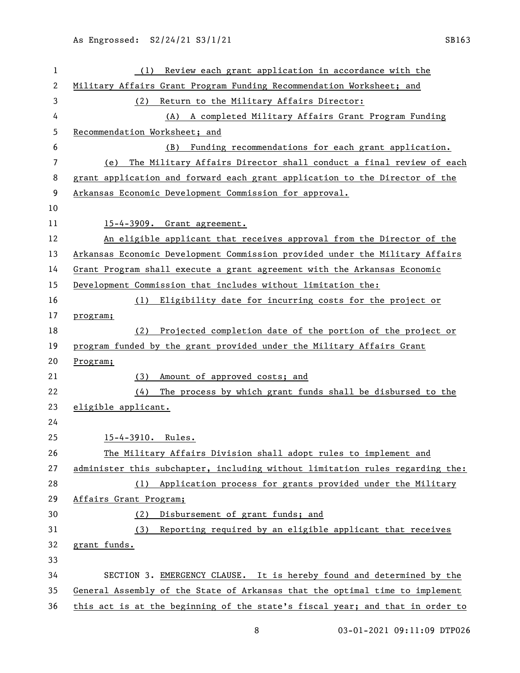| 1  | Review each grant application in accordance with the<br>(1)                   |
|----|-------------------------------------------------------------------------------|
| 2  | Military Affairs Grant Program Funding Recommendation Worksheet; and          |
| 3  | Return to the Military Affairs Director:<br>(2)                               |
| 4  | A completed Military Affairs Grant Program Funding<br>(A)                     |
| 5  | Recommendation Worksheet; and                                                 |
| 6  | Funding recommendations for each grant application.<br>(B)                    |
| 7  | The Military Affairs Director shall conduct a final review of each<br>(e)     |
| 8  | grant application and forward each grant application to the Director of the   |
| 9  | Arkansas Economic Development Commission for approval.                        |
| 10 |                                                                               |
| 11 | 15-4-3909. Grant agreement.                                                   |
| 12 | An eligible applicant that receives approval from the Director of the         |
| 13 | Arkansas Economic Development Commission provided under the Military Affairs  |
| 14 | Grant Program shall execute a grant agreement with the Arkansas Economic      |
| 15 | Development Commission that includes without limitation the:                  |
| 16 | (1) Eligibility date for incurring costs for the project or                   |
| 17 | program;                                                                      |
| 18 | Projected completion date of the portion of the project or<br>(2)             |
| 19 | program funded by the grant provided under the Military Affairs Grant         |
| 20 | Program;                                                                      |
| 21 | (3) Amount of approved costs; and                                             |
| 22 | The process by which grant funds shall be disbursed to the<br>(4)             |
| 23 | eligible applicant.                                                           |
| 24 |                                                                               |
| 25 | 15-4-3910. Rules.                                                             |
| 26 | The Military Affairs Division shall adopt rules to implement and              |
| 27 | administer this subchapter, including without limitation rules regarding the: |
| 28 | (1) Application process for grants provided under the Military                |
| 29 | Affairs Grant Program;                                                        |
| 30 | Disbursement of grant funds; and<br>(2)                                       |
| 31 | Reporting required by an eligible applicant that receives<br>(3)              |
| 32 | grant funds.                                                                  |
| 33 |                                                                               |
| 34 | SECTION 3. EMERGENCY CLAUSE. It is hereby found and determined by the         |
| 35 | General Assembly of the State of Arkansas that the optimal time to implement  |
| 36 | this act is at the beginning of the state's fiscal year; and that in order to |